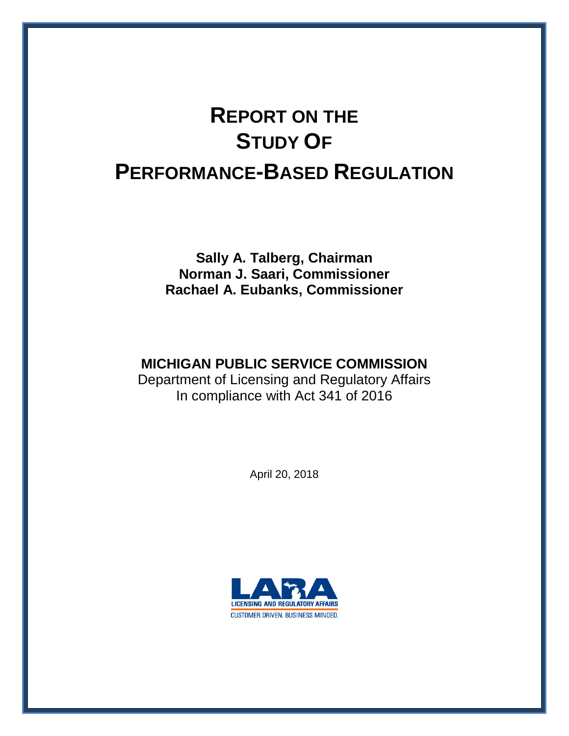# **REPORT ON THE STUDY OF PERFORMANCE-BASED REGULATION**

**Sally A. Talberg, Chairman Norman J. Saari, Commissioner Rachael A. Eubanks, Commissioner**

## **MICHIGAN PUBLIC SERVICE COMMISSION**

Department of Licensing and Regulatory Affairs In compliance with Act 341 of 2016

April 20, 2018

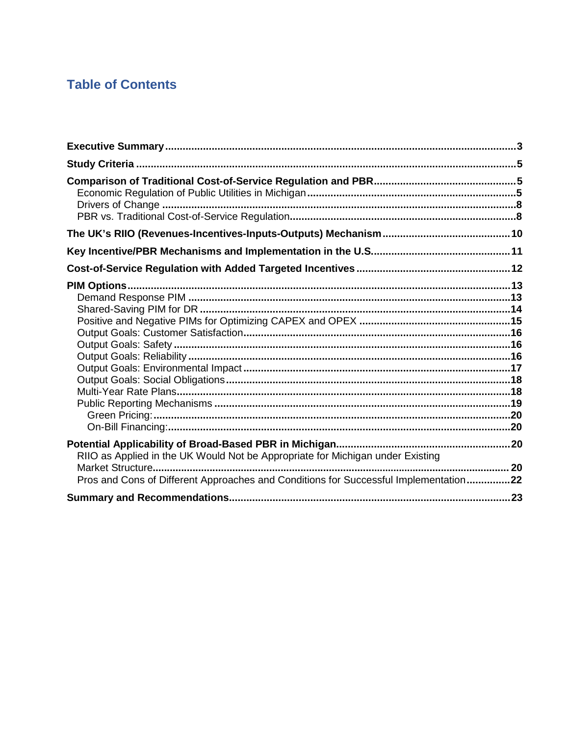## **Table of Contents**

| RIIO as Applied in the UK Would Not be Appropriate for Michigan under Existing<br>Pros and Cons of Different Approaches and Conditions for Successful Implementation22 |  |
|------------------------------------------------------------------------------------------------------------------------------------------------------------------------|--|
|                                                                                                                                                                        |  |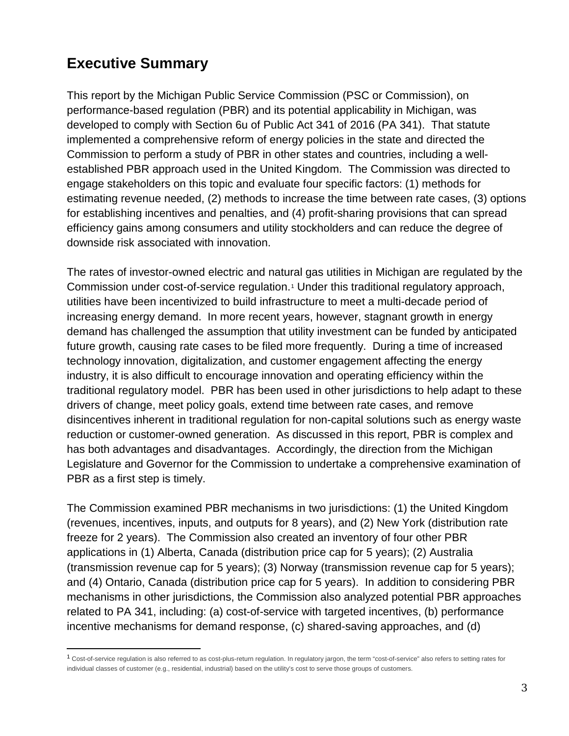# <span id="page-2-0"></span>**Executive Summary**

 $\overline{a}$ 

This report by the Michigan Public Service Commission (PSC or Commission), on performance-based regulation (PBR) and its potential applicability in Michigan, was developed to comply with Section 6u of Public Act 341 of 2016 (PA 341). That statute implemented a comprehensive reform of energy policies in the state and directed the Commission to perform a study of PBR in other states and countries, including a wellestablished PBR approach used in the United Kingdom. The Commission was directed to engage stakeholders on this topic and evaluate four specific factors: (1) methods for estimating revenue needed, (2) methods to increase the time between rate cases, (3) options for establishing incentives and penalties, and (4) profit-sharing provisions that can spread efficiency gains among consumers and utility stockholders and can reduce the degree of downside risk associated with innovation.

The rates of investor-owned electric and natural gas utilities in Michigan are regulated by the Commission under cost-of-service regulation.[1](#page-2-1) Under this traditional regulatory approach, utilities have been incentivized to build infrastructure to meet a multi-decade period of increasing energy demand. In more recent years, however, stagnant growth in energy demand has challenged the assumption that utility investment can be funded by anticipated future growth, causing rate cases to be filed more frequently. During a time of increased technology innovation, digitalization, and customer engagement affecting the energy industry, it is also difficult to encourage innovation and operating efficiency within the traditional regulatory model. PBR has been used in other jurisdictions to help adapt to these drivers of change, meet policy goals, extend time between rate cases, and remove disincentives inherent in traditional regulation for non-capital solutions such as energy waste reduction or customer-owned generation. As discussed in this report, PBR is complex and has both advantages and disadvantages. Accordingly, the direction from the Michigan Legislature and Governor for the Commission to undertake a comprehensive examination of PBR as a first step is timely.

The Commission examined PBR mechanisms in two jurisdictions: (1) the United Kingdom (revenues, incentives, inputs, and outputs for 8 years), and (2) New York (distribution rate freeze for 2 years). The Commission also created an inventory of four other PBR applications in (1) Alberta, Canada (distribution price cap for 5 years); (2) Australia (transmission revenue cap for 5 years); (3) Norway (transmission revenue cap for 5 years); and (4) Ontario, Canada (distribution price cap for 5 years). In addition to considering PBR mechanisms in other jurisdictions, the Commission also analyzed potential PBR approaches related to PA 341, including: (a) cost-of-service with targeted incentives, (b) performance incentive mechanisms for demand response, (c) shared-saving approaches, and (d)

<span id="page-2-1"></span><sup>1</sup> Cost-of-service regulation is also referred to as cost-plus-return regulation. In regulatory jargon, the term "cost-of-service" also refers to setting rates for individual classes of customer (e.g., residential, industrial) based on the utility's cost to serve those groups of customers.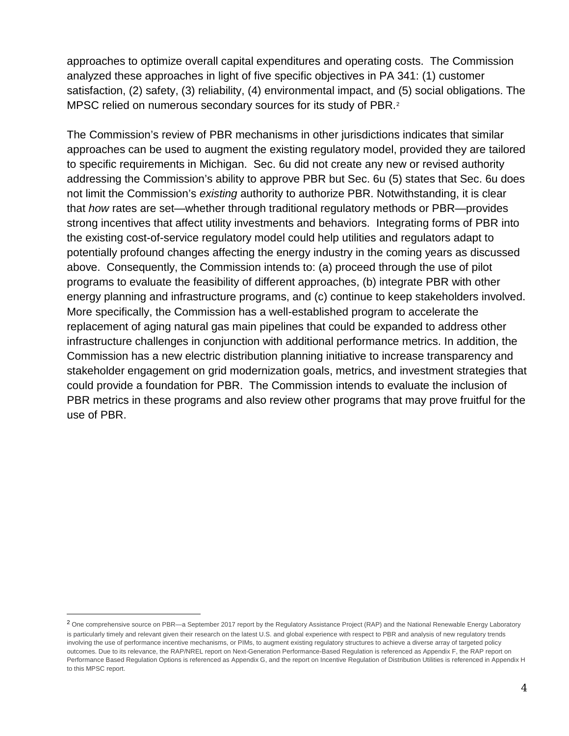approaches to optimize overall capital expenditures and operating costs. The Commission analyzed these approaches in light of five specific objectives in PA 341: (1) customer satisfaction, (2) safety, (3) reliability, (4) environmental impact, and (5) social obligations. The MPSC relied on numerous secondary sources for its study of PBR.<sup>[2](#page-3-1)</sup>

The Commission's review of PBR mechanisms in other jurisdictions indicates that similar approaches can be used to augment the existing regulatory model, provided they are tailored to specific requirements in Michigan. Sec. 6u did not create any new or revised authority addressing the Commission's ability to approve PBR but Sec. 6u (5) states that Sec. 6u does not limit the Commission's *existing* authority to authorize PBR. Notwithstanding, it is clear that *how* rates are set—whether through traditional regulatory methods or PBR—provides strong incentives that affect utility investments and behaviors. Integrating forms of PBR into the existing cost-of-service regulatory model could help utilities and regulators adapt to potentially profound changes affecting the energy industry in the coming years as discussed above. Consequently, the Commission intends to: (a) proceed through the use of pilot programs to evaluate the feasibility of different approaches, (b) integrate PBR with other energy planning and infrastructure programs, and (c) continue to keep stakeholders involved. More specifically, the Commission has a well-established program to accelerate the replacement of aging natural gas main pipelines that could be expanded to address other infrastructure challenges in conjunction with additional performance metrics. In addition, the Commission has a new electric distribution planning initiative to increase transparency and stakeholder engagement on grid modernization goals, metrics, and investment strategies that could provide a foundation for PBR. The Commission intends to evaluate the inclusion of PBR metrics in these programs and also review other programs that may prove fruitful for the use of PBR.

<span id="page-3-0"></span> $\overline{a}$ 

<span id="page-3-1"></span><sup>&</sup>lt;sup>2</sup> One comprehensive source on PBR—a September 2017 report by the Regulatory Assistance Project (RAP) and the National Renewable Energy Laboratory is particularly timely and relevant given their research on the latest U.S. and global experience with respect to PBR and analysis of new regulatory trends involving the use of performance incentive mechanisms, or PIMs, to augment existing regulatory structures to achieve a diverse array of targeted policy outcomes. Due to its relevance, the RAP/NREL report on Next-Generation Performance-Based Regulation is referenced as Appendix F, the RAP report on Performance Based Regulation Options is referenced as Appendix G, and the report on Incentive Regulation of Distribution Utilities is referenced in Appendix H to this MPSC report.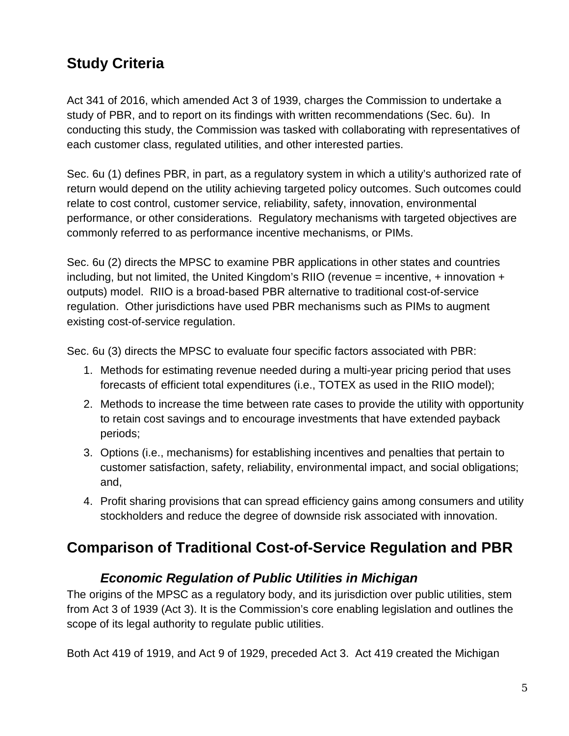# **Study Criteria**

Act 341 of 2016, which amended Act 3 of 1939, charges the Commission to undertake a study of PBR, and to report on its findings with written recommendations (Sec. 6u). In conducting this study, the Commission was tasked with collaborating with representatives of each customer class, regulated utilities, and other interested parties.

Sec. 6u (1) defines PBR, in part, as a regulatory system in which a utility's authorized rate of return would depend on the utility achieving targeted policy outcomes. Such outcomes could relate to cost control, customer service, reliability, safety, innovation, environmental performance, or other considerations. Regulatory mechanisms with targeted objectives are commonly referred to as performance incentive mechanisms, or PIMs.

Sec. 6u (2) directs the MPSC to examine PBR applications in other states and countries including, but not limited, the United Kingdom's RIIO (revenue = incentive,  $+$  innovation  $+$ outputs) model. RIIO is a broad-based PBR alternative to traditional cost-of-service regulation. Other jurisdictions have used PBR mechanisms such as PIMs to augment existing cost-of-service regulation.

Sec. 6u (3) directs the MPSC to evaluate four specific factors associated with PBR:

- 1. Methods for estimating revenue needed during a multi-year pricing period that uses forecasts of efficient total expenditures (i.e., TOTEX as used in the RIIO model);
- 2. Methods to increase the time between rate cases to provide the utility with opportunity to retain cost savings and to encourage investments that have extended payback periods;
- 3. Options (i.e., mechanisms) for establishing incentives and penalties that pertain to customer satisfaction, safety, reliability, environmental impact, and social obligations; and,
- 4. Profit sharing provisions that can spread efficiency gains among consumers and utility stockholders and reduce the degree of downside risk associated with innovation.

# <span id="page-4-1"></span><span id="page-4-0"></span>**Comparison of Traditional Cost-of-Service Regulation and PBR**

#### *Economic Regulation of Public Utilities in Michigan*

The origins of the MPSC as a regulatory body, and its jurisdiction over public utilities, stem from Act 3 of 1939 (Act 3). It is the Commission's core enabling legislation and outlines the scope of its legal authority to regulate public utilities.

Both Act 419 of 1919, and Act 9 of 1929, preceded Act 3. Act 419 created the Michigan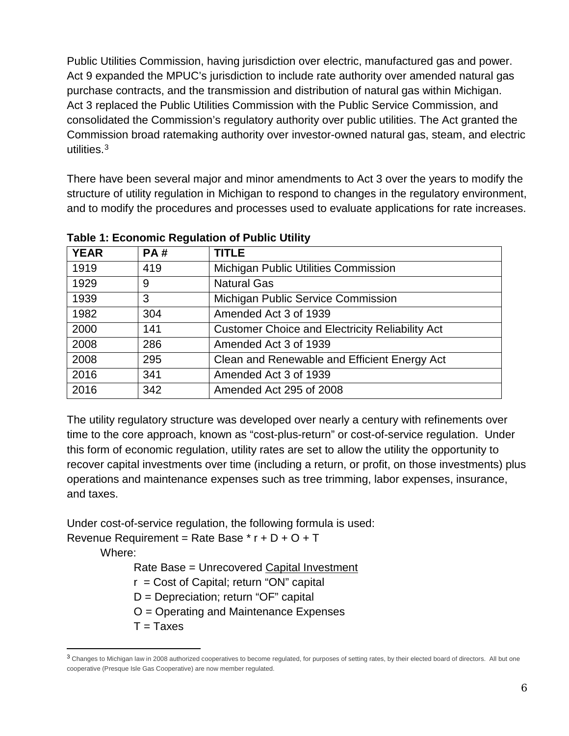Public Utilities Commission, having jurisdiction over electric, manufactured gas and power. Act 9 expanded the MPUC's jurisdiction to include rate authority over amended natural gas purchase contracts, and the transmission and distribution of natural gas within Michigan. Act 3 replaced the Public Utilities Commission with the Public Service Commission, and consolidated the Commission's regulatory authority over public utilities. The Act granted the Commission broad ratemaking authority over investor-owned natural gas, steam, and electric utilities. [3](#page-5-0)

There have been several major and minor amendments to Act 3 over the years to modify the structure of utility regulation in Michigan to respond to changes in the regulatory environment, and to modify the procedures and processes used to evaluate applications for rate increases.

| <b>YEAR</b> | <b>PA#</b> | <b>TITLE</b>                                           |
|-------------|------------|--------------------------------------------------------|
| 1919        | 419        | <b>Michigan Public Utilities Commission</b>            |
| 1929        | 9          | <b>Natural Gas</b>                                     |
| 1939        | 3          | Michigan Public Service Commission                     |
| 1982        | 304        | Amended Act 3 of 1939                                  |
| 2000        | 141        | <b>Customer Choice and Electricity Reliability Act</b> |
| 2008        | 286        | Amended Act 3 of 1939                                  |
| 2008        | 295        | Clean and Renewable and Efficient Energy Act           |
| 2016        | 341        | Amended Act 3 of 1939                                  |
| 2016        | 342        | Amended Act 295 of 2008                                |

**Table 1: Economic Regulation of Public Utility**

The utility regulatory structure was developed over nearly a century with refinements over time to the core approach, known as "cost-plus-return" or cost-of-service regulation. Under this form of economic regulation, utility rates are set to allow the utility the opportunity to recover capital investments over time (including a return, or profit, on those investments) plus operations and maintenance expenses such as tree trimming, labor expenses, insurance, and taxes.

Under cost-of-service regulation, the following formula is used: Revenue Requirement = Rate Base  $*$  r + D + O + T

Where:

 $\overline{a}$ 

Rate Base = Unrecovered Capital Investment

 $r = Cost of Capital; return "ON" capital$ 

- D = Depreciation; return "OF" capital
- O = Operating and Maintenance Expenses
- $T = T$ axes

<span id="page-5-0"></span><sup>3</sup> Changes to Michigan law in 2008 authorized cooperatives to become regulated, for purposes of setting rates, by their elected board of directors. All but one cooperative (Presque Isle Gas Cooperative) are now member regulated.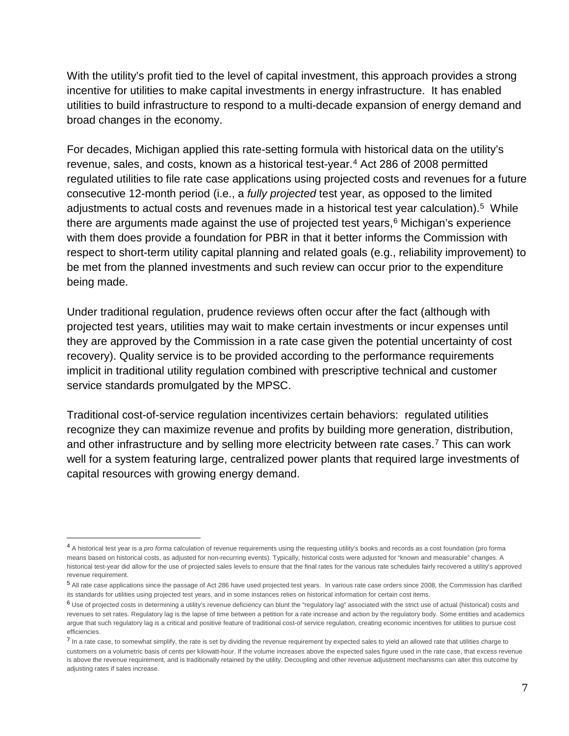With the utility's profit tied to the level of capital investment, this approach provides a strong incentive for utilities to make capital investments in energy infrastructure. It has enabled utilities to build infrastructure to respond to a multi-decade expansion of energy demand and broad changes in the economy.

For decades, Michigan applied this rate-setting formula with historical data on the utility's revenue, sales, and costs, known as a historical test-year. [4](#page-6-0) Act 286 of 2008 permitted regulated utilities to file rate case applications using projected costs and revenues for a future consecutive 12-month period (i.e., a *fully projected* test year, as opposed to the limited adjustments to actual costs and revenues made in a historical test year calculation).<sup>[5](#page-6-1)</sup> While there are arguments made against the use of projected test years, $6$  Michigan's experience with them does provide a foundation for PBR in that it better informs the Commission with respect to short-term utility capital planning and related goals (e.g., reliability improvement) to be met from the planned investments and such review can occur prior to the expenditure being made.

Under traditional regulation, prudence reviews often occur after the fact (although with projected test years, utilities may wait to make certain investments or incur expenses until they are approved by the Commission in a rate case given the potential uncertainty of cost recovery). Quality service is to be provided according to the performance requirements implicit in traditional utility regulation combined with prescriptive technical and customer service standards promulgated by the MPSC.

Traditional cost-of-service regulation incentivizes certain behaviors: regulated utilities recognize they can maximize revenue and profits by building more generation, distribution, and other infrastructure and by selling more electricity between rate cases.<sup>[7](#page-6-3)</sup> This can work well for a system featuring large, centralized power plants that required large investments of capital resources with growing energy demand.

1

<span id="page-6-0"></span><sup>4</sup> A historical test year is a *pro forma* calculation of revenue requirements using the requesting utility's books and records as a cost foundation (pro forma means based on historical costs, as adjusted for non-recurring events). Typically, historical costs were adjusted for "known and measurable" changes. A historical test-year did allow for the use of projected sales levels to ensure that the final rates for the various rate schedules fairly recovered a utility's approved revenue requirement.

<span id="page-6-1"></span><sup>5</sup> All rate case applications since the passage of Act 286 have used projected test years. In various rate case orders since 2008, the Commission has clarified its standards for utilities using projected test years, and in some instances relies on historical information for certain cost items.

<span id="page-6-2"></span> $6$  Use of projected costs in determining a utility's revenue deficiency can blunt the "regulatory lag" associated with the strict use of actual (historical) costs and revenues to set rates. Regulatory lag is the lapse of time between a petition for a rate increase and action by the regulatory body. Some entities and academics argue that such regulatory lag is a critical and positive feature of traditional cost-of service regulation, creating economic incentives for utilities to pursue cost efficiencies.

<span id="page-6-3"></span><sup>&</sup>lt;sup>7</sup> In a rate case, to somewhat simplify, the rate is set by dividing the revenue requirement by expected sales to yield an allowed rate that utilities charge to customers on a volumetric basis of cents per kilowatt-hour. If the volume increases above the expected sales figure used in the rate case, that excess revenue is above the revenue requirement, and is traditionally retained by the utility. Decoupling and other revenue adjustment mechanisms can alter this outcome by adjusting rates if sales increase.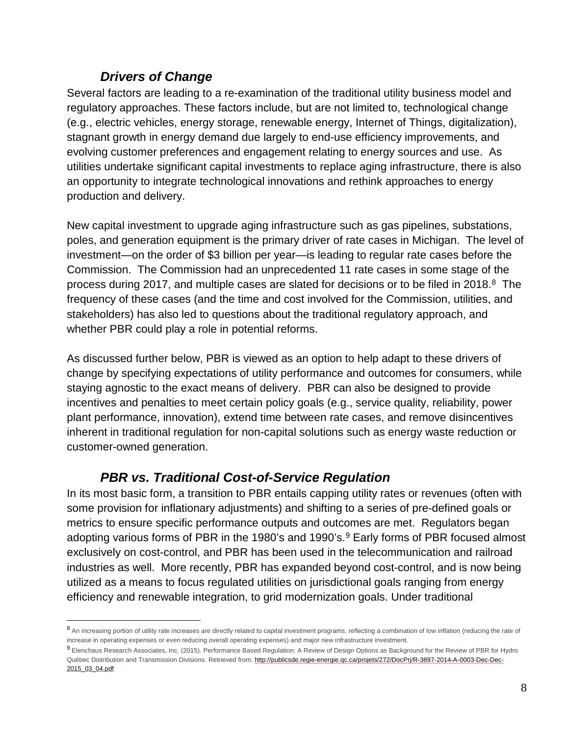#### *Drivers of Change*

 $\overline{a}$ 

<span id="page-7-0"></span>Several factors are leading to a re-examination of the traditional utility business model and regulatory approaches. These factors include, but are not limited to, technological change (e.g., electric vehicles, energy storage, renewable energy, Internet of Things, digitalization), stagnant growth in energy demand due largely to end-use efficiency improvements, and evolving customer preferences and engagement relating to energy sources and use. As utilities undertake significant capital investments to replace aging infrastructure, there is also an opportunity to integrate technological innovations and rethink approaches to energy production and delivery.

New capital investment to upgrade aging infrastructure such as gas pipelines, substations, poles, and generation equipment is the primary driver of rate cases in Michigan. The level of investment—on the order of \$3 billion per year—is leading to regular rate cases before the Commission. The Commission had an unprecedented 11 rate cases in some stage of the process during 2017, and multiple cases are slated for decisions or to be filed in 2018.<sup>8</sup> The frequency of these cases (and the time and cost involved for the Commission, utilities, and stakeholders) has also led to questions about the traditional regulatory approach, and whether PBR could play a role in potential reforms.

As discussed further below, PBR is viewed as an option to help adapt to these drivers of change by specifying expectations of utility performance and outcomes for consumers, while staying agnostic to the exact means of delivery. PBR can also be designed to provide incentives and penalties to meet certain policy goals (e.g., service quality, reliability, power plant performance, innovation), extend time between rate cases, and remove disincentives inherent in traditional regulation for non-capital solutions such as energy waste reduction or customer-owned generation.

#### *PBR vs. Traditional Cost-of-Service Regulation*

<span id="page-7-1"></span>In its most basic form, a transition to PBR entails capping utility rates or revenues (often with some provision for inflationary adjustments) and shifting to a series of pre-defined goals or metrics to ensure specific performance outputs and outcomes are met. Regulators began adopting various forms of PBR in the 1[9](#page-7-3)80's and 1990's.<sup>9</sup> Early forms of PBR focused almost exclusively on cost-control, and PBR has been used in the telecommunication and railroad industries as well. More recently, PBR has expanded beyond cost-control, and is now being utilized as a means to focus regulated utilities on jurisdictional goals ranging from energy efficiency and renewable integration, to grid modernization goals. Under traditional

<span id="page-7-2"></span><sup>8</sup> An increasing portion of utility rate increases are directly related to capital investment programs, reflecting a combination of low inflation (reducing the rate of increase in operating expenses or even reducing overall operating expenses) and major new infrastructure investment.

<span id="page-7-3"></span><sup>9</sup> Elenchaus Research Associates, Inc. (2015). Performance Based Regulation: A Review of Design Options as Background for the Review of PBR for Hydro Québec Distribution and Transmission Divisions. Retrieved from[: http://publicsde.regie-energie.qc.ca/projets/272/DocPrj/R-3897-2014-A-0003-Dec-Dec-](http://publicsde.regie-energie.qc.ca/projets/272/DocPrj/R-3897-2014-A-0003-Dec-Dec-2015_03_04.pdf)[2015\\_03\\_04.pdf](http://publicsde.regie-energie.qc.ca/projets/272/DocPrj/R-3897-2014-A-0003-Dec-Dec-2015_03_04.pdf)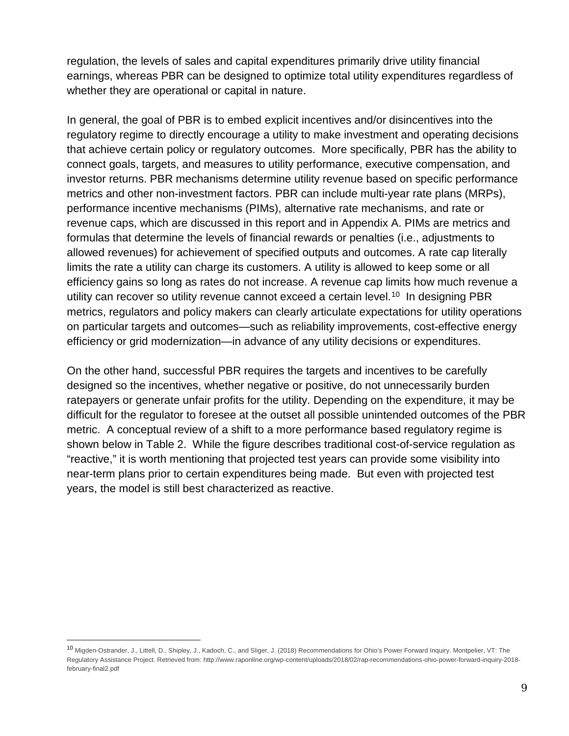regulation, the levels of sales and capital expenditures primarily drive utility financial earnings, whereas PBR can be designed to optimize total utility expenditures regardless of whether they are operational or capital in nature.

In general, the goal of PBR is to embed explicit incentives and/or disincentives into the regulatory regime to directly encourage a utility to make investment and operating decisions that achieve certain policy or regulatory outcomes. More specifically, PBR has the ability to connect goals, targets, and measures to utility performance, executive compensation, and investor returns. PBR mechanisms determine utility revenue based on specific performance metrics and other non-investment factors. PBR can include multi-year rate plans (MRPs), performance incentive mechanisms (PIMs), alternative rate mechanisms, and rate or revenue caps, which are discussed in this report and in Appendix A. PIMs are metrics and formulas that determine the levels of financial rewards or penalties (i.e., adjustments to allowed revenues) for achievement of specified outputs and outcomes. A rate cap literally limits the rate a utility can charge its customers. A utility is allowed to keep some or all efficiency gains so long as rates do not increase. A revenue cap limits how much revenue a utility can recover so utility revenue cannot exceed a certain level.<sup>[10](#page-8-0)</sup> In designing PBR metrics, regulators and policy makers can clearly articulate expectations for utility operations on particular targets and outcomes—such as reliability improvements, cost-effective energy efficiency or grid modernization—in advance of any utility decisions or expenditures.

On the other hand, successful PBR requires the targets and incentives to be carefully designed so the incentives, whether negative or positive, do not unnecessarily burden ratepayers or generate unfair profits for the utility. Depending on the expenditure, it may be difficult for the regulator to foresee at the outset all possible unintended outcomes of the PBR metric. A conceptual review of a shift to a more performance based regulatory regime is shown below in Table 2. While the figure describes traditional cost-of-service regulation as "reactive," it is worth mentioning that projected test years can provide some visibility into near-term plans prior to certain expenditures being made. But even with projected test years, the model is still best characterized as reactive.

1

<span id="page-8-0"></span><sup>10</sup> Migden-Ostrander, J., Littell, D., Shipley, J., Kadoch, C., and Sliger, J. (2018) Recommendations for Ohio's Power Forward Inquiry. Montpelier, VT: The Regulatory Assistance Project. Retrieved from: http://www.raponline.org/wp-content/uploads/2018/02/rap-recommendations-ohio-power-forward-inquiry-2018 february-final2.pdf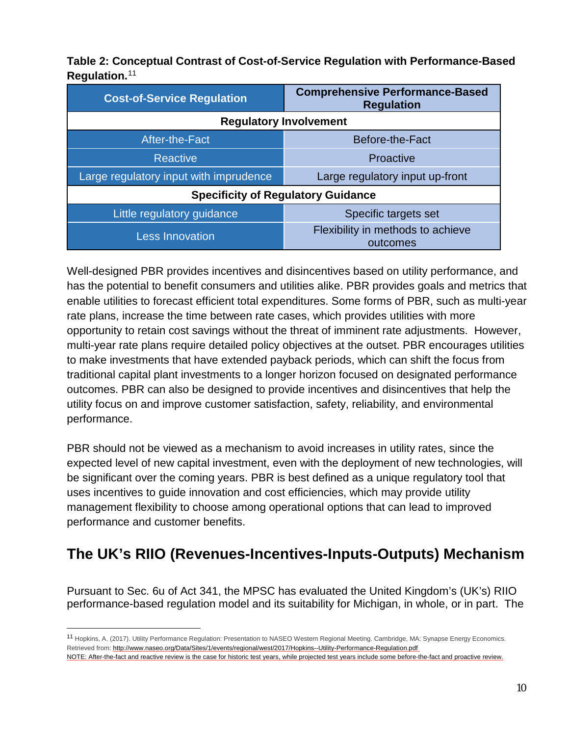**Table 2: Conceptual Contrast of Cost-of-Service Regulation with Performance-Based Regulation.**[11](#page-9-1)

| <b>Cost-of-Service Regulation</b>         | <b>Comprehensive Performance-Based</b><br><b>Regulation</b> |  |  |  |  |  |  |
|-------------------------------------------|-------------------------------------------------------------|--|--|--|--|--|--|
| <b>Regulatory Involvement</b>             |                                                             |  |  |  |  |  |  |
| After-the-Fact                            | Before-the-Fact                                             |  |  |  |  |  |  |
| <b>Reactive</b>                           | Proactive                                                   |  |  |  |  |  |  |
| Large regulatory input with imprudence    | Large regulatory input up-front                             |  |  |  |  |  |  |
| <b>Specificity of Regulatory Guidance</b> |                                                             |  |  |  |  |  |  |
| Little regulatory guidance                | Specific targets set                                        |  |  |  |  |  |  |
| <b>Less Innovation</b>                    | Flexibility in methods to achieve<br>outcomes               |  |  |  |  |  |  |

Well-designed PBR provides incentives and disincentives based on utility performance, and has the potential to benefit consumers and utilities alike. PBR provides goals and metrics that enable utilities to forecast efficient total expenditures. Some forms of PBR, such as multi-year rate plans, increase the time between rate cases, which provides utilities with more opportunity to retain cost savings without the threat of imminent rate adjustments. However, multi-year rate plans require detailed policy objectives at the outset. PBR encourages utilities to make investments that have extended payback periods, which can shift the focus from traditional capital plant investments to a longer horizon focused on designated performance outcomes. PBR can also be designed to provide incentives and disincentives that help the utility focus on and improve customer satisfaction, safety, reliability, and environmental performance.

PBR should not be viewed as a mechanism to avoid increases in utility rates, since the expected level of new capital investment, even with the deployment of new technologies, will be significant over the coming years. PBR is best defined as a unique regulatory tool that uses incentives to guide innovation and cost efficiencies, which may provide utility management flexibility to choose among operational options that can lead to improved performance and customer benefits.

# <span id="page-9-0"></span>**The UK's RIIO (Revenues-Incentives-Inputs-Outputs) Mechanism**

Pursuant to Sec. 6u of Act 341, the MPSC has evaluated the United Kingdom's (UK's) RIIO performance-based regulation model and its suitability for Michigan, in whole, or in part. The

 $\overline{a}$ 

<span id="page-9-1"></span><sup>11</sup> Hopkins, A. (2017). Utility Performance Regulation: Presentation to NASEO Western Regional Meeting. Cambridge, MA: Synapse Energy Economics. Retrieved from:<http://www.naseo.org/Data/Sites/1/events/regional/west/2017/Hopkins--Utility-Performance-Regulation.pdf>

NOTE: After-the-fact and reactive review is the case for historic test years, while projected test years include some before-the-fact and proactive review.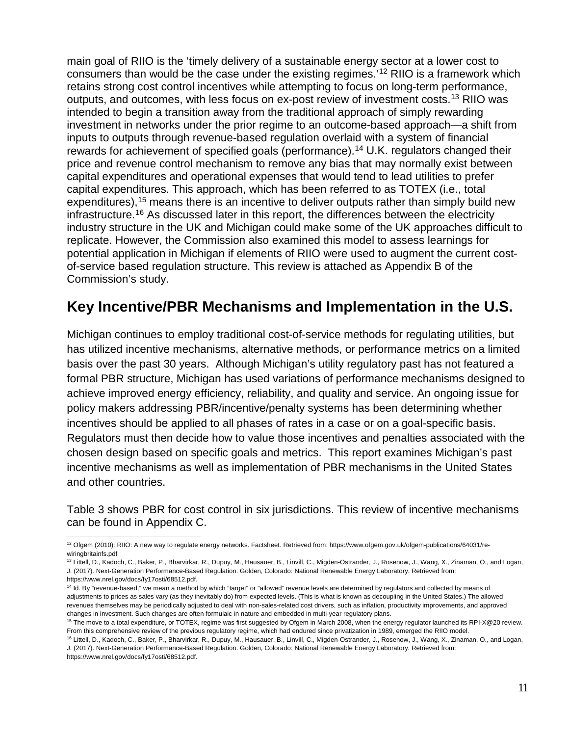main goal of RIIO is the 'timely delivery of a sustainable energy sector at a lower cost to consumers than would be the case under the existing regimes.'<sup>[12](#page-10-1)</sup> RIIO is a framework which retains strong cost control incentives while attempting to focus on long-term performance, outputs, and outcomes, with less focus on ex-post review of investment costs[.13](#page-10-2) RIIO was intended to begin a transition away from the traditional approach of simply rewarding investment in networks under the prior regime to an outcome-based approach—a shift from inputs to outputs through revenue-based regulation overlaid with a system of financial rewards for achievement of specified goals (performance).<sup>[14](#page-10-3)</sup> U.K. regulators changed their price and revenue control mechanism to remove any bias that may normally exist between capital expenditures and operational expenses that would tend to lead utilities to prefer capital expenditures. This approach, which has been referred to as TOTEX (i.e., total expenditures),<sup>[15](#page-10-4)</sup> means there is an incentive to deliver outputs rather than simply build new infrastructure.<sup>[16](#page-10-5)</sup> As discussed later in this report, the differences between the electricity industry structure in the UK and Michigan could make some of the UK approaches difficult to replicate. However, the Commission also examined this model to assess learnings for potential application in Michigan if elements of RIIO were used to augment the current costof-service based regulation structure. This review is attached as Appendix B of the Commission's study.

# <span id="page-10-0"></span>**Key Incentive/PBR Mechanisms and Implementation in the U.S.**

Michigan continues to employ traditional cost-of-service methods for regulating utilities, but has utilized incentive mechanisms, alternative methods, or performance metrics on a limited basis over the past 30 years. Although Michigan's utility regulatory past has not featured a formal PBR structure, Michigan has used variations of performance mechanisms designed to achieve improved energy efficiency, reliability, and quality and service. An ongoing issue for policy makers addressing PBR/incentive/penalty systems has been determining whether incentives should be applied to all phases of rates in a case or on a goal-specific basis. Regulators must then decide how to value those incentives and penalties associated with the chosen design based on specific goals and metrics. This report examines Michigan's past incentive mechanisms as well as implementation of PBR mechanisms in the United States and other countries.

Table 3 shows PBR for cost control in six jurisdictions. This review of incentive mechanisms can be found in Appendix C.

<span id="page-10-1"></span><sup>12</sup> Ofgem (2010): RIIO: A new way to regulate energy networks. Factsheet. Retrieved from: https://www.ofgem.gov.uk/ofgem-publications/64031/rewiringbritainfs.pdf

<span id="page-10-2"></span><sup>13</sup> Littell, D., Kadoch, C., Baker, P., Bharvirkar, R., Dupuy, M., Hausauer, B., Linvill, C., Migden-Ostrander, J., Rosenow, J., Wang, X., Zinaman, O., and Logan, J. (2017). Next-Generation Performance-Based Regulation. Golden, Colorado: National Renewable Energy Laboratory. Retrieved from: https://www.nrel.gov/docs/fy17osti/68512.pdf.

<span id="page-10-3"></span><sup>&</sup>lt;sup>14</sup> Id. By "revenue-based," we mean a method by which "target" or "allowed" revenue levels are determined by regulators and collected by means of adjustments to prices as sales vary (as they inevitably do) from expected levels. (This is what is known as decoupling in the United States.) The allowed revenues themselves may be periodically adjusted to deal with non-sales-related cost drivers, such as inflation, productivity improvements, and approved changes in investment. Such changes are often formulaic in nature and embedded in multi-year regulatory plans.

<span id="page-10-4"></span><sup>15</sup> The move to a total expenditure, or TOTEX, regime was first suggested by Ofgem in March 2008, when the energy regulator launched its RPI-X@20 review. From this comprehensive review of the previous regulatory regime, which had endured since privatization in 1989, emerged the RIIO model.

<span id="page-10-5"></span><sup>16</sup> Littell, D., Kadoch, C., Baker, P., Bharvirkar, R., Dupuy, M., Hausauer, B., Linvill, C., Migden-Ostrander, J., Rosenow, J., Wang, X., Zinaman, O., and Logan, J. (2017). Next-Generation Performance-Based Regulation. Golden, Colorado: National Renewable Energy Laboratory. Retrieved from: https://www.nrel.gov/docs/fy17osti/68512.pdf.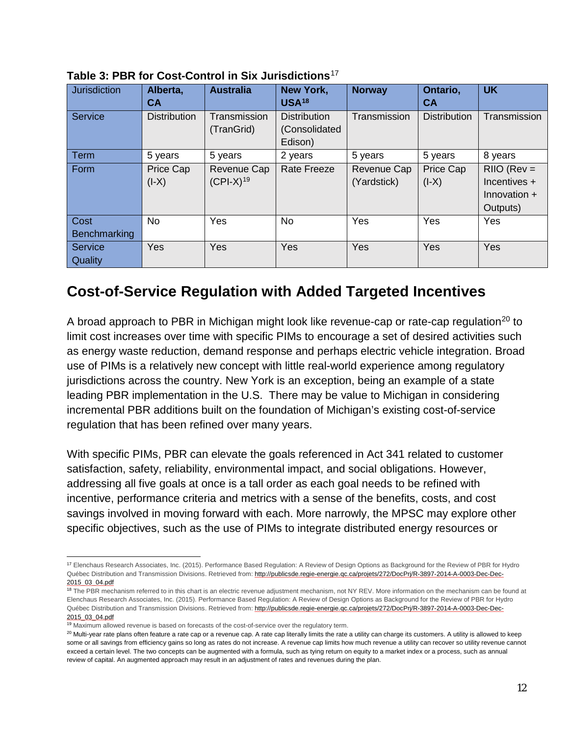| <b>Jurisdiction</b>         | Alberta,<br>СA       | <b>Australia</b>              | <b>New York,</b><br><b>USA18</b>                | <b>Norway</b>              | Ontario,<br>CА       | <b>UK</b>                                                     |
|-----------------------------|----------------------|-------------------------------|-------------------------------------------------|----------------------------|----------------------|---------------------------------------------------------------|
| Service                     | <b>Distribution</b>  | Transmission<br>(TranGrid)    | <b>Distribution</b><br>(Consolidated<br>Edison) | Transmission               | <b>Distribution</b>  | Transmission                                                  |
| Term                        | 5 years              | 5 years                       | 2 years                                         | 5 years                    | 5 years              | 8 years                                                       |
| Form                        | Price Cap<br>$(I-X)$ | Revenue Cap<br>$(CPI-X)^{19}$ | <b>Rate Freeze</b>                              | Revenue Cap<br>(Yardstick) | Price Cap<br>$(I-X)$ | $RIO$ ( $Rev =$<br>Incentives +<br>Innovation $+$<br>Outputs) |
| Cost<br><b>Benchmarking</b> | No                   | Yes                           | No                                              | Yes                        | Yes                  | Yes                                                           |
| Service<br>Quality          | Yes                  | Yes                           | Yes                                             | Yes                        | Yes                  | <b>Yes</b>                                                    |

**Table 3: PBR for Cost-Control in Six Jurisdictions**[17](#page-11-1)

## <span id="page-11-0"></span>**Cost-of-Service Regulation with Added Targeted Incentives**

A broad approach to PBR in Michigan might look like revenue-cap or rate-cap regulation<sup>[20](#page-11-4)</sup> to limit cost increases over time with specific PIMs to encourage a set of desired activities such as energy waste reduction, demand response and perhaps electric vehicle integration. Broad use of PIMs is a relatively new concept with little real-world experience among regulatory jurisdictions across the country. New York is an exception, being an example of a state leading PBR implementation in the U.S. There may be value to Michigan in considering incremental PBR additions built on the foundation of Michigan's existing cost-of-service regulation that has been refined over many years.

With specific PIMs, PBR can elevate the goals referenced in Act 341 related to customer satisfaction, safety, reliability, environmental impact, and social obligations. However, addressing all five goals at once is a tall order as each goal needs to be refined with incentive, performance criteria and metrics with a sense of the benefits, costs, and cost savings involved in moving forward with each. More narrowly, the MPSC may explore other specific objectives, such as the use of PIMs to integrate distributed energy resources or

<span id="page-11-1"></span><sup>17</sup> Elenchaus Research Associates, Inc. (2015). Performance Based Regulation: A Review of Design Options as Background for the Review of PBR for Hydro Québec Distribution and Transmission Divisions. Retrieved from[: http://publicsde.regie-energie.qc.ca/projets/272/DocPrj/R-3897-2014-A-0003-Dec-Dec-](http://publicsde.regie-energie.qc.ca/projets/272/DocPrj/R-3897-2014-A-0003-Dec-Dec-2015_03_04.pdf)[2015\\_03\\_04.pdf](http://publicsde.regie-energie.qc.ca/projets/272/DocPrj/R-3897-2014-A-0003-Dec-Dec-2015_03_04.pdf)

<span id="page-11-2"></span><sup>&</sup>lt;sup>18</sup> The PBR mechanism referred to in this chart is an electric revenue adjustment mechanism, not NY REV. More information on the mechanism can be found at Elenchaus Research Associates, Inc. (2015). Performance Based Regulation: A Review of Design Options as Background for the Review of PBR for Hydro Québec Distribution and Transmission Divisions. Retrieved from[: http://publicsde.regie-energie.qc.ca/projets/272/DocPrj/R-3897-2014-A-0003-Dec-Dec-](http://publicsde.regie-energie.qc.ca/projets/272/DocPrj/R-3897-2014-A-0003-Dec-Dec-2015_03_04.pdf)[2015\\_03\\_04.pdf](http://publicsde.regie-energie.qc.ca/projets/272/DocPrj/R-3897-2014-A-0003-Dec-Dec-2015_03_04.pdf)

<span id="page-11-3"></span><sup>&</sup>lt;sup>19</sup> Maximum allowed revenue is based on forecasts of the cost-of-service over the regulatory term.

<span id="page-11-4"></span><sup>&</sup>lt;sup>20</sup> Multi-year rate plans often feature a rate cap or a revenue cap. A rate cap literally limits the rate a utility can charge its customers. A utility is allowed to keep some or all savings from efficiency gains so long as rates do not increase. A revenue cap limits how much revenue a utility can recover so utility revenue cannot exceed a certain level. The two concepts can be augmented with a formula, such as tying return on equity to a market index or a process, such as annual review of capital. An augmented approach may result in an adjustment of rates and revenues during the plan.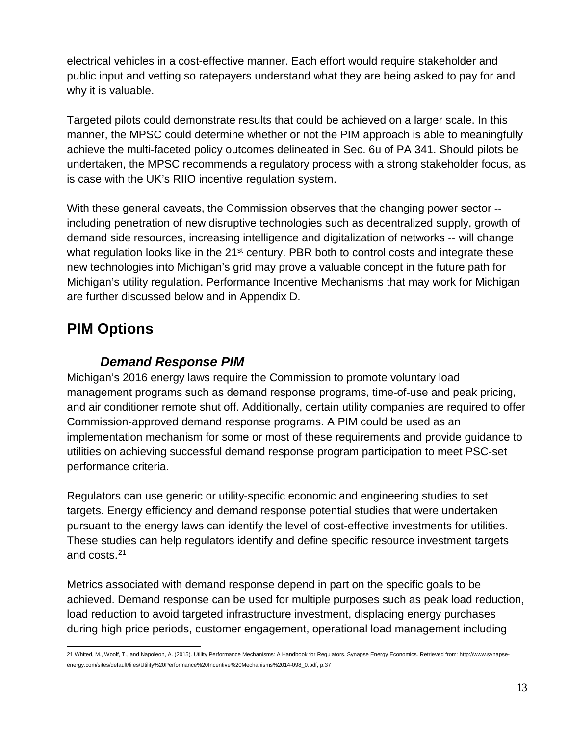electrical vehicles in a cost-effective manner. Each effort would require stakeholder and public input and vetting so ratepayers understand what they are being asked to pay for and why it is valuable.

Targeted pilots could demonstrate results that could be achieved on a larger scale. In this manner, the MPSC could determine whether or not the PIM approach is able to meaningfully achieve the multi-faceted policy outcomes delineated in Sec. 6u of PA 341. Should pilots be undertaken, the MPSC recommends a regulatory process with a strong stakeholder focus, as is case with the UK's RIIO incentive regulation system.

With these general caveats, the Commission observes that the changing power sector - including penetration of new disruptive technologies such as decentralized supply, growth of demand side resources, increasing intelligence and digitalization of networks -- will change what regulation looks like in the 21<sup>st</sup> century. PBR both to control costs and integrate these new technologies into Michigan's grid may prove a valuable concept in the future path for Michigan's utility regulation. Performance Incentive Mechanisms that may work for Michigan are further discussed below and in Appendix D.

# <span id="page-12-0"></span>**PIM Options**

#### *Demand Response PIM*

<span id="page-12-1"></span>Michigan's 2016 energy laws require the Commission to promote voluntary load management programs such as demand response programs, time-of-use and peak pricing, and air conditioner remote shut off. Additionally, certain utility companies are required to offer Commission-approved demand response programs. A PIM could be used as an implementation mechanism for some or most of these requirements and provide guidance to utilities on achieving successful demand response program participation to meet PSC-set performance criteria.

Regulators can use generic or utility‐specific economic and engineering studies to set targets. Energy efficiency and demand response potential studies that were undertaken pursuant to the energy laws can identify the level of cost-effective investments for utilities. These studies can help regulators identify and define specific resource investment targets and costs.[21](#page-12-2)

Metrics associated with demand response depend in part on the specific goals to be achieved. Demand response can be used for multiple purposes such as peak load reduction, load reduction to avoid targeted infrastructure investment, displacing energy purchases during high price periods, customer engagement, operational load management including

<span id="page-12-2"></span>21 Whited, M., Woolf, T., and Napoleon, A. (2015). Utility Performance Mechanisms: A Handbook for Regulators. Synapse Energy Economics. Retrieved from[: http://www.synapse](http://www.synapse-energy.com/sites/default/files/Utility%20Performance%20Incentive%20Mechanisms%2014-098_0.pdf)[energy.com/sites/default/files/Utility%20Performance%20Incentive%20Mechanisms%2014-098\\_0.pdf,](http://www.synapse-energy.com/sites/default/files/Utility%20Performance%20Incentive%20Mechanisms%2014-098_0.pdf) p.37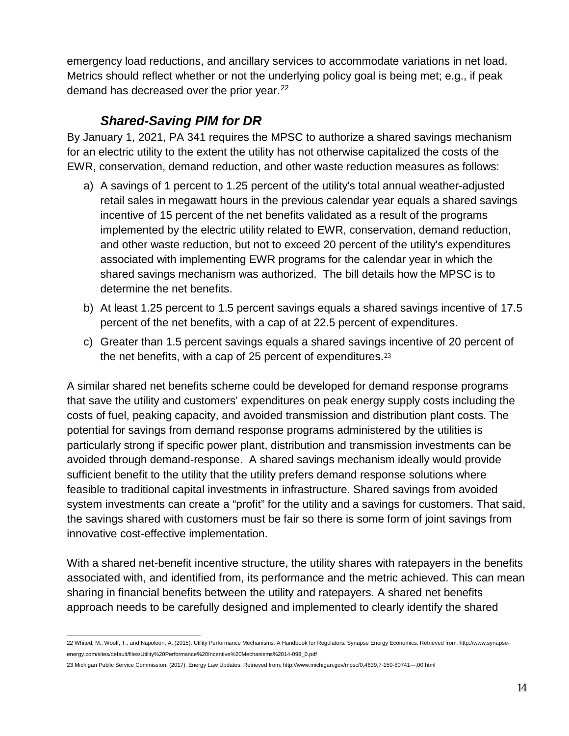emergency load reductions, and ancillary services to accommodate variations in net load. Metrics should reflect whether or not the underlying policy goal is being met; e.g., if peak demand has decreased over the prior year.<sup>[22](#page-13-1)</sup>

#### *Shared-Saving PIM for DR*

<span id="page-13-0"></span>By January 1, 2021, PA 341 requires the MPSC to authorize a shared savings mechanism for an electric utility to the extent the utility has not otherwise capitalized the costs of the EWR, conservation, demand reduction, and other waste reduction measures as follows:

- a) A savings of 1 percent to 1.25 percent of the utility's total annual weather-adjusted retail sales in megawatt hours in the previous calendar year equals a shared savings incentive of 15 percent of the net benefits validated as a result of the programs implemented by the electric utility related to EWR, conservation, demand reduction, and other waste reduction, but not to exceed 20 percent of the utility's expenditures associated with implementing EWR programs for the calendar year in which the shared savings mechanism was authorized. The bill details how the MPSC is to determine the net benefits.
- b) At least 1.25 percent to 1.5 percent savings equals a shared savings incentive of 17.5 percent of the net benefits, with a cap of at 22.5 percent of expenditures.
- c) Greater than 1.5 percent savings equals a shared savings incentive of 20 percent of the net benefits, with a cap of 25 percent of expenditures.[23](#page-13-2)

A similar shared net benefits scheme could be developed for demand response programs that save the utility and customers' expenditures on peak energy supply costs including the costs of fuel, peaking capacity, and avoided transmission and distribution plant costs. The potential for savings from demand response programs administered by the utilities is particularly strong if specific power plant, distribution and transmission investments can be avoided through demand-response. A shared savings mechanism ideally would provide sufficient benefit to the utility that the utility prefers demand response solutions where feasible to traditional capital investments in infrastructure. Shared savings from avoided system investments can create a "profit" for the utility and a savings for customers. That said, the savings shared with customers must be fair so there is some form of joint savings from innovative cost-effective implementation.

With a shared net-benefit incentive structure, the utility shares with ratepayers in the benefits associated with, and identified from, its performance and the metric achieved. This can mean sharing in financial benefits between the utility and ratepayers. A shared net benefits approach needs to be carefully designed and implemented to clearly identify the shared

<span id="page-13-1"></span>22 Whited, M., Woolf, T., and Napoleon, A. (2015). Utility Performance Mechanisms: A Handbook for Regulators. Synapse Energy Economics. Retrieved from[: http://www.synapse](http://www.synapse-energy.com/sites/default/files/Utility%20Performance%20Incentive%20Mechanisms%2014-098_0.pdf)[energy.com/sites/default/files/Utility%20Performance%20Incentive%20Mechanisms%2014-098\\_0.pdf](http://www.synapse-energy.com/sites/default/files/Utility%20Performance%20Incentive%20Mechanisms%2014-098_0.pdf)

<span id="page-13-2"></span><sup>23</sup> Michigan Public Service Commission. (2017). Energy Law Updates. Retrieved from: http://www.michigan.gov/mpsc/0,4639,7-159-80741---,00.html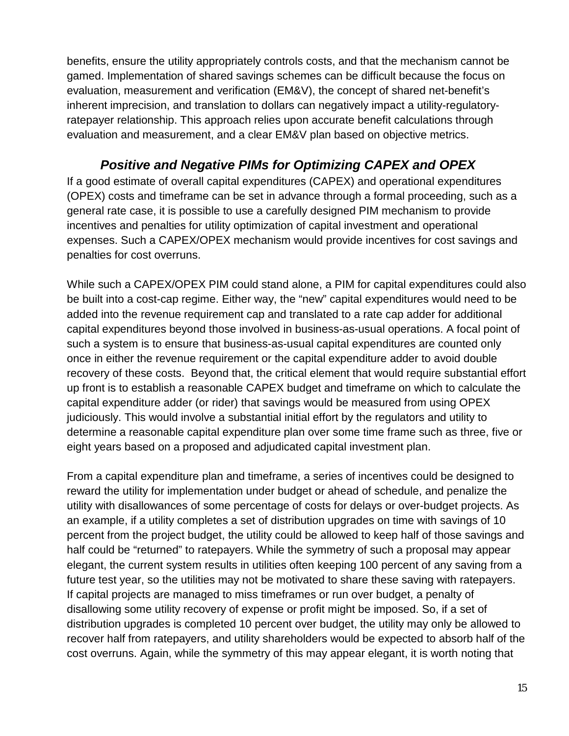benefits, ensure the utility appropriately controls costs, and that the mechanism cannot be gamed. Implementation of shared savings schemes can be difficult because the focus on evaluation, measurement and verification (EM&V), the concept of shared net-benefit's inherent imprecision, and translation to dollars can negatively impact a utility-regulatoryratepayer relationship. This approach relies upon accurate benefit calculations through evaluation and measurement, and a clear EM&V plan based on objective metrics.

#### *Positive and Negative PIMs for Optimizing CAPEX and OPEX*

<span id="page-14-0"></span>If a good estimate of overall capital expenditures (CAPEX) and operational expenditures (OPEX) costs and timeframe can be set in advance through a formal proceeding, such as a general rate case, it is possible to use a carefully designed PIM mechanism to provide incentives and penalties for utility optimization of capital investment and operational expenses. Such a CAPEX/OPEX mechanism would provide incentives for cost savings and penalties for cost overruns.

While such a CAPEX/OPEX PIM could stand alone, a PIM for capital expenditures could also be built into a cost-cap regime. Either way, the "new" capital expenditures would need to be added into the revenue requirement cap and translated to a rate cap adder for additional capital expenditures beyond those involved in business-as-usual operations. A focal point of such a system is to ensure that business-as-usual capital expenditures are counted only once in either the revenue requirement or the capital expenditure adder to avoid double recovery of these costs. Beyond that, the critical element that would require substantial effort up front is to establish a reasonable CAPEX budget and timeframe on which to calculate the capital expenditure adder (or rider) that savings would be measured from using OPEX judiciously. This would involve a substantial initial effort by the regulators and utility to determine a reasonable capital expenditure plan over some time frame such as three, five or eight years based on a proposed and adjudicated capital investment plan.

From a capital expenditure plan and timeframe, a series of incentives could be designed to reward the utility for implementation under budget or ahead of schedule, and penalize the utility with disallowances of some percentage of costs for delays or over-budget projects. As an example, if a utility completes a set of distribution upgrades on time with savings of 10 percent from the project budget, the utility could be allowed to keep half of those savings and half could be "returned" to ratepayers. While the symmetry of such a proposal may appear elegant, the current system results in utilities often keeping 100 percent of any saving from a future test year, so the utilities may not be motivated to share these saving with ratepayers. If capital projects are managed to miss timeframes or run over budget, a penalty of disallowing some utility recovery of expense or profit might be imposed. So, if a set of distribution upgrades is completed 10 percent over budget, the utility may only be allowed to recover half from ratepayers, and utility shareholders would be expected to absorb half of the cost overruns. Again, while the symmetry of this may appear elegant, it is worth noting that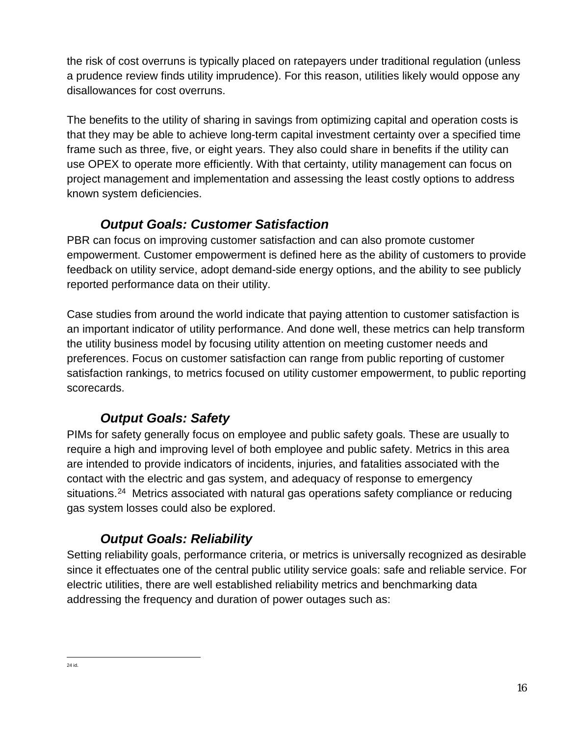the risk of cost overruns is typically placed on ratepayers under traditional regulation (unless a prudence review finds utility imprudence). For this reason, utilities likely would oppose any disallowances for cost overruns.

The benefits to the utility of sharing in savings from optimizing capital and operation costs is that they may be able to achieve long-term capital investment certainty over a specified time frame such as three, five, or eight years. They also could share in benefits if the utility can use OPEX to operate more efficiently. With that certainty, utility management can focus on project management and implementation and assessing the least costly options to address known system deficiencies.

## *Output Goals: Customer Satisfaction*

<span id="page-15-0"></span>PBR can focus on improving customer satisfaction and can also promote customer empowerment. Customer empowerment is defined here as the ability of customers to provide feedback on utility service, adopt demand-side energy options, and the ability to see publicly reported performance data on their utility.

Case studies from around the world indicate that paying attention to customer satisfaction is an important indicator of utility performance. And done well, these metrics can help transform the utility business model by focusing utility attention on meeting customer needs and preferences. Focus on customer satisfaction can range from public reporting of customer satisfaction rankings, to metrics focused on utility customer empowerment, to public reporting scorecards.

# *Output Goals: Safety*

<span id="page-15-1"></span>PIMs for safety generally focus on employee and public safety goals. These are usually to require a high and improving level of both employee and public safety. Metrics in this area are intended to provide indicators of incidents, injuries, and fatalities associated with the contact with the electric and gas system, and adequacy of response to emergency situations.<sup>[24](#page-15-3)</sup> Metrics associated with natural gas operations safety compliance or reducing gas system losses could also be explored.

## *Output Goals: Reliability*

<span id="page-15-2"></span>Setting reliability goals, performance criteria, or metrics is universally recognized as desirable since it effectuates one of the central public utility service goals: safe and reliable service. For electric utilities, there are well established reliability metrics and benchmarking data addressing the frequency and duration of power outages such as:

<span id="page-15-3"></span>**<sup>24</sup> id.**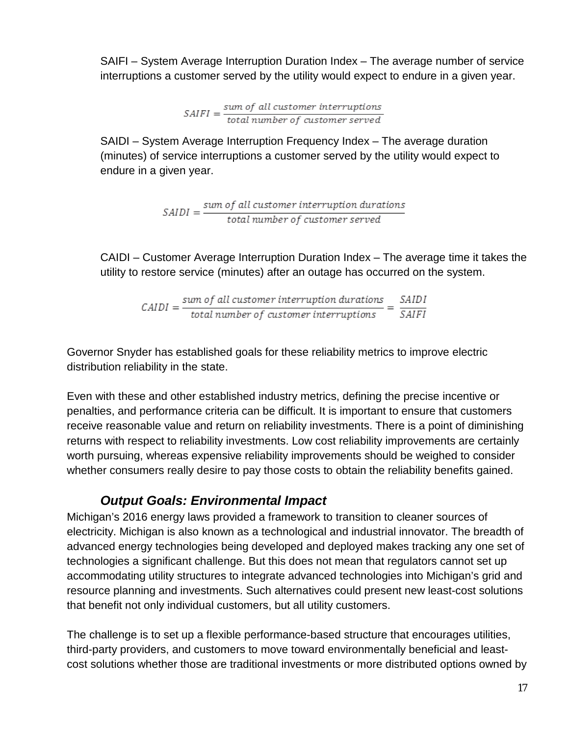SAIFI – System Average Interruption Duration Index – The average number of service interruptions a customer served by the utility would expect to endure in a given year.

 $SAIFI = \frac{sum of all customer interruptions}{total number of customer served}$ 

SAIDI – System Average Interruption Frequency Index – The average duration (minutes) of service interruptions a customer served by the utility would expect to endure in a given year.

 $SADI = \frac{sum\ of\ all\ customer\ intervention\ durations}{total\ number\ of\ customer\ served}$ 

CAIDI – Customer Average Interruption Duration Index – The average time it takes the utility to restore service (minutes) after an outage has occurred on the system.

 $CAIDI = \frac{sum\; of\; all\; customer\; interruption\; durations}{total\; number\; of\; customer\; interventions} = \frac{SAIDI}{SAIFI}$ 

Governor Snyder has established goals for these reliability metrics to improve electric distribution reliability in the state.

Even with these and other established industry metrics, defining the precise incentive or penalties, and performance criteria can be difficult. It is important to ensure that customers receive reasonable value and return on reliability investments. There is a point of diminishing returns with respect to reliability investments. Low cost reliability improvements are certainly worth pursuing, whereas expensive reliability improvements should be weighed to consider whether consumers really desire to pay those costs to obtain the reliability benefits gained.

#### *Output Goals: Environmental Impact*

<span id="page-16-0"></span>Michigan's 2016 energy laws provided a framework to transition to cleaner sources of electricity. Michigan is also known as a technological and industrial innovator. The breadth of advanced energy technologies being developed and deployed makes tracking any one set of technologies a significant challenge. But this does not mean that regulators cannot set up accommodating utility structures to integrate advanced technologies into Michigan's grid and resource planning and investments. Such alternatives could present new least-cost solutions that benefit not only individual customers, but all utility customers.

The challenge is to set up a flexible performance-based structure that encourages utilities, third-party providers, and customers to move toward environmentally beneficial and leastcost solutions whether those are traditional investments or more distributed options owned by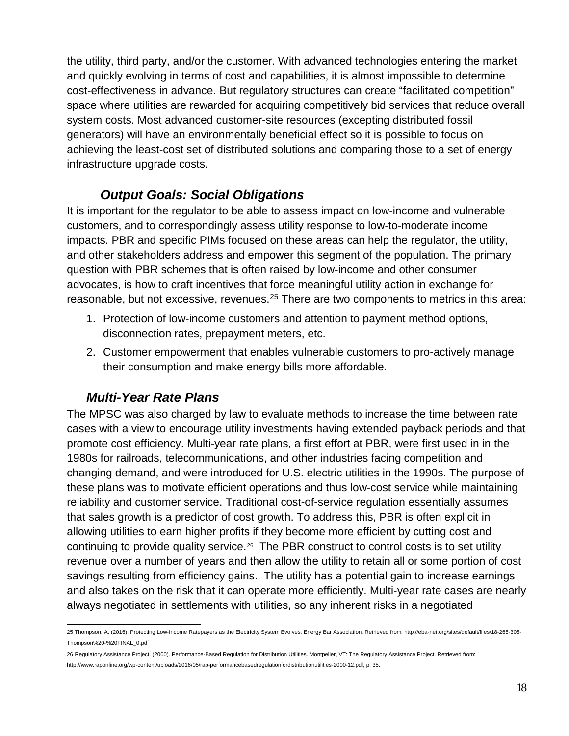the utility, third party, and/or the customer. With advanced technologies entering the market and quickly evolving in terms of cost and capabilities, it is almost impossible to determine cost-effectiveness in advance. But regulatory structures can create "facilitated competition" space where utilities are rewarded for acquiring competitively bid services that reduce overall system costs. Most advanced customer-site resources (excepting distributed fossil generators) will have an environmentally beneficial effect so it is possible to focus on achieving the least-cost set of distributed solutions and comparing those to a set of energy infrastructure upgrade costs.

#### *Output Goals: Social Obligations*

<span id="page-17-0"></span>It is important for the regulator to be able to assess impact on low-income and vulnerable customers, and to correspondingly assess utility response to low-to-moderate income impacts. PBR and specific PIMs focused on these areas can help the regulator, the utility, and other stakeholders address and empower this segment of the population. The primary question with PBR schemes that is often raised by low-income and other consumer advocates, is how to craft incentives that force meaningful utility action in exchange for reasonable, but not excessive, revenues.<sup>[25](#page-17-2)</sup> There are two components to metrics in this area:

- 1. Protection of low-income customers and attention to payment method options, disconnection rates, prepayment meters, etc.
- 2. Customer empowerment that enables vulnerable customers to pro-actively manage their consumption and make energy bills more affordable.

#### *Multi-Year Rate Plans*

<span id="page-17-1"></span>The MPSC was also charged by law to evaluate methods to increase the time between rate cases with a view to encourage utility investments having extended payback periods and that promote cost efficiency. Multi-year rate plans, a first effort at PBR, were first used in in the 1980s for railroads, telecommunications, and other industries facing competition and changing demand, and were introduced for U.S. electric utilities in the 1990s. The purpose of these plans was to motivate efficient operations and thus low-cost service while maintaining reliability and customer service. Traditional cost-of-service regulation essentially assumes that sales growth is a predictor of cost growth. To address this, PBR is often explicit in allowing utilities to earn higher profits if they become more efficient by cutting cost and continuing to provide quality service.<sup>26</sup> The PBR construct to control costs is to set utility revenue over a number of years and then allow the utility to retain all or some portion of cost savings resulting from efficiency gains. The utility has a potential gain to increase earnings and also takes on the risk that it can operate more efficiently. Multi-year rate cases are nearly always negotiated in settlements with utilities, so any inherent risks in a negotiated

<span id="page-17-2"></span>25 Thompson, A. (2016). Protecting Low-Income Ratepayers as the Electricity System Evolves. Energy Bar Association. Retrieved from[: http://eba-net.org/sites/default/files/18-265-305-](http://eba-net.org/sites/default/files/18-265-305-Thompson%20-%20FINAL_0.pdf) [Thompson%20-%20FINAL\\_0.pdf](http://eba-net.org/sites/default/files/18-265-305-Thompson%20-%20FINAL_0.pdf)

<span id="page-17-3"></span><sup>26</sup> Regulatory Assistance Project. (2000). Performance-Based Regulation for Distribution Utilities. Montpelier, VT: The Regulatory Assistance Project. Retrieved from:

http://www.raponline.org/wp-content/uploads/2016/05/rap-performancebasedregulationfordistributionutilities-2000-12.pdf, p. 35.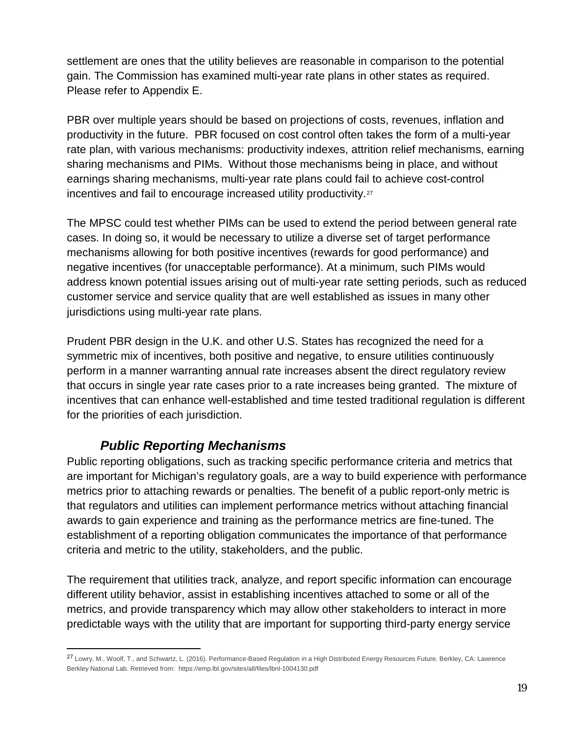settlement are ones that the utility believes are reasonable in comparison to the potential gain. The Commission has examined multi-year rate plans in other states as required. Please refer to Appendix E.

PBR over multiple years should be based on projections of costs, revenues, inflation and productivity in the future. PBR focused on cost control often takes the form of a multi-year rate plan, with various mechanisms: productivity indexes, attrition relief mechanisms, earning sharing mechanisms and PIMs. Without those mechanisms being in place, and without earnings sharing mechanisms, multi-year rate plans could fail to achieve cost-control incentives and fail to encourage increased utility productivity.<sup>[27](#page-18-1)</sup>

The MPSC could test whether PIMs can be used to extend the period between general rate cases. In doing so, it would be necessary to utilize a diverse set of target performance mechanisms allowing for both positive incentives (rewards for good performance) and negative incentives (for unacceptable performance). At a minimum, such PIMs would address known potential issues arising out of multi-year rate setting periods, such as reduced customer service and service quality that are well established as issues in many other jurisdictions using multi-year rate plans.

Prudent PBR design in the U.K. and other U.S. States has recognized the need for a symmetric mix of incentives, both positive and negative, to ensure utilities continuously perform in a manner warranting annual rate increases absent the direct regulatory review that occurs in single year rate cases prior to a rate increases being granted. The mixture of incentives that can enhance well-established and time tested traditional regulation is different for the priorities of each jurisdiction.

#### *Public Reporting Mechanisms*

 $\overline{a}$ 

<span id="page-18-0"></span>Public reporting obligations, such as tracking specific performance criteria and metrics that are important for Michigan's regulatory goals, are a way to build experience with performance metrics prior to attaching rewards or penalties. The benefit of a public report-only metric is that regulators and utilities can implement performance metrics without attaching financial awards to gain experience and training as the performance metrics are fine-tuned. The establishment of a reporting obligation communicates the importance of that performance criteria and metric to the utility, stakeholders, and the public.

The requirement that utilities track, analyze, and report specific information can encourage different utility behavior, assist in establishing incentives attached to some or all of the metrics, and provide transparency which may allow other stakeholders to interact in more predictable ways with the utility that are important for supporting third-party energy service

<span id="page-18-1"></span><sup>27</sup> Lowry, M., Woolf, T., and Schwartz, L. (2016). Performance-Based Regulation in a High Distributed Energy Resources Future. Berkley, CA: Lawrence Berkley National Lab. Retrieved from: https://emp.lbl.gov/sites/all/files/lbnl-1004130.pdf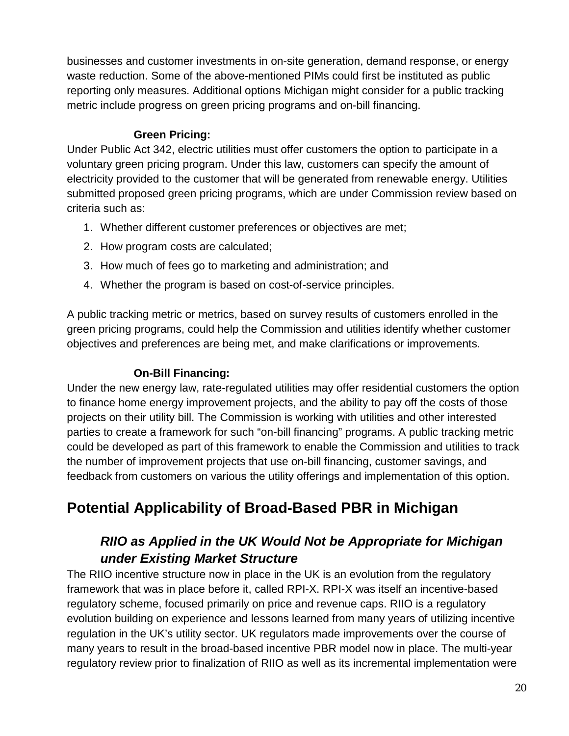businesses and customer investments in on-site generation, demand response, or energy waste reduction. Some of the above-mentioned PIMs could first be instituted as public reporting only measures. Additional options Michigan might consider for a public tracking metric include progress on green pricing programs and on-bill financing.

#### **Green Pricing:**

<span id="page-19-0"></span>Under Public Act 342, electric utilities must offer customers the option to participate in a voluntary green pricing program. Under this law, customers can specify the amount of electricity provided to the customer that will be generated from renewable energy. Utilities submitted proposed green pricing programs, which are under Commission review based on criteria such as:

- 1. Whether different customer preferences or objectives are met;
- 2. How program costs are calculated;
- 3. How much of fees go to marketing and administration; and
- 4. Whether the program is based on cost-of-service principles.

A public tracking metric or metrics, based on survey results of customers enrolled in the green pricing programs, could help the Commission and utilities identify whether customer objectives and preferences are being met, and make clarifications or improvements.

#### **On-Bill Financing:**

<span id="page-19-1"></span>Under the new energy law, rate-regulated utilities may offer residential customers the option to finance home energy improvement projects, and the ability to pay off the costs of those projects on their utility bill. The Commission is working with utilities and other interested parties to create a framework for such "on-bill financing" programs. A public tracking metric could be developed as part of this framework to enable the Commission and utilities to track the number of improvement projects that use on-bill financing, customer savings, and feedback from customers on various the utility offerings and implementation of this option.

# <span id="page-19-3"></span><span id="page-19-2"></span>**Potential Applicability of Broad-Based PBR in Michigan**

## *RIIO as Applied in the UK Would Not be Appropriate for Michigan under Existing Market Structure*

The RIIO incentive structure now in place in the UK is an evolution from the regulatory framework that was in place before it, called RPI-X. RPI-X was itself an incentive-based regulatory scheme, focused primarily on price and revenue caps. RIIO is a regulatory evolution building on experience and lessons learned from many years of utilizing incentive regulation in the UK's utility sector. UK regulators made improvements over the course of many years to result in the broad-based incentive PBR model now in place. The multi-year regulatory review prior to finalization of RIIO as well as its incremental implementation were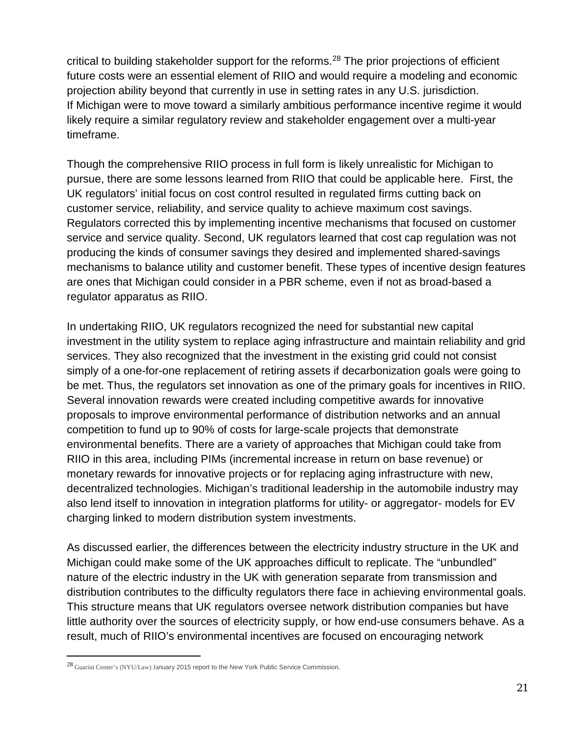critical to building stakeholder support for the reforms.<sup>[28](#page-20-0)</sup> The prior projections of efficient future costs were an essential element of RIIO and would require a modeling and economic projection ability beyond that currently in use in setting rates in any U.S. jurisdiction. If Michigan were to move toward a similarly ambitious performance incentive regime it would likely require a similar regulatory review and stakeholder engagement over a multi-year timeframe.

Though the comprehensive RIIO process in full form is likely unrealistic for Michigan to pursue, there are some lessons learned from RIIO that could be applicable here. First, the UK regulators' initial focus on cost control resulted in regulated firms cutting back on customer service, reliability, and service quality to achieve maximum cost savings. Regulators corrected this by implementing incentive mechanisms that focused on customer service and service quality. Second, UK regulators learned that cost cap regulation was not producing the kinds of consumer savings they desired and implemented shared-savings mechanisms to balance utility and customer benefit. These types of incentive design features are ones that Michigan could consider in a PBR scheme, even if not as broad-based a regulator apparatus as RIIO.

In undertaking RIIO, UK regulators recognized the need for substantial new capital investment in the utility system to replace aging infrastructure and maintain reliability and grid services. They also recognized that the investment in the existing grid could not consist simply of a one-for-one replacement of retiring assets if decarbonization goals were going to be met. Thus, the regulators set innovation as one of the primary goals for incentives in RIIO. Several innovation rewards were created including competitive awards for innovative proposals to improve environmental performance of distribution networks and an annual competition to fund up to 90% of costs for large-scale projects that demonstrate environmental benefits. There are a variety of approaches that Michigan could take from RIIO in this area, including PIMs (incremental increase in return on base revenue) or monetary rewards for innovative projects or for replacing aging infrastructure with new, decentralized technologies. Michigan's traditional leadership in the automobile industry may also lend itself to innovation in integration platforms for utility- or aggregator- models for EV charging linked to modern distribution system investments.

As discussed earlier, the differences between the electricity industry structure in the UK and Michigan could make some of the UK approaches difficult to replicate. The "unbundled" nature of the electric industry in the UK with generation separate from transmission and distribution contributes to the difficulty regulators there face in achieving environmental goals. This structure means that UK regulators oversee network distribution companies but have little authority over the sources of electricity supply, or how end-use consumers behave. As a result, much of RIIO's environmental incentives are focused on encouraging network

 $\overline{a}$ 

<span id="page-20-0"></span><sup>28</sup> Guarini Center's (NYU/Law) January 2015 report to the New York Public Service Commission.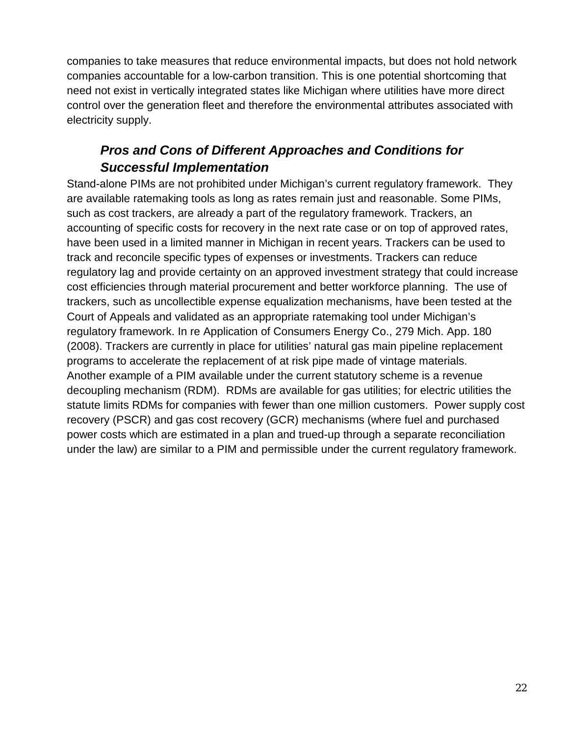companies to take measures that reduce environmental impacts, but does not hold network companies accountable for a low-carbon transition. This is one potential shortcoming that need not exist in vertically integrated states like Michigan where utilities have more direct control over the generation fleet and therefore the environmental attributes associated with electricity supply.

## *Pros and Cons of Different Approaches and Conditions for Successful Implementation*

<span id="page-21-1"></span><span id="page-21-0"></span>Stand-alone PIMs are not prohibited under Michigan's current regulatory framework. They are available ratemaking tools as long as rates remain just and reasonable. Some PIMs, such as cost trackers, are already a part of the regulatory framework. Trackers, an accounting of specific costs for recovery in the next rate case or on top of approved rates, have been used in a limited manner in Michigan in recent years. Trackers can be used to track and reconcile specific types of expenses or investments. Trackers can reduce regulatory lag and provide certainty on an approved investment strategy that could increase cost efficiencies through material procurement and better workforce planning. The use of trackers, such as uncollectible expense equalization mechanisms, have been tested at the Court of Appeals and validated as an appropriate ratemaking tool under Michigan's regulatory framework. In re Application of Consumers Energy Co., 279 Mich. App. 180 (2008). Trackers are currently in place for utilities' natural gas main pipeline replacement programs to accelerate the replacement of at risk pipe made of vintage materials. Another example of a PIM available under the current statutory scheme is a revenue decoupling mechanism (RDM). RDMs are available for gas utilities; for electric utilities the statute limits RDMs for companies with fewer than one million customers. Power supply cost recovery (PSCR) and gas cost recovery (GCR) mechanisms (where fuel and purchased power costs which are estimated in a plan and trued-up through a separate reconciliation under the law) are similar to a PIM and permissible under the current regulatory framework.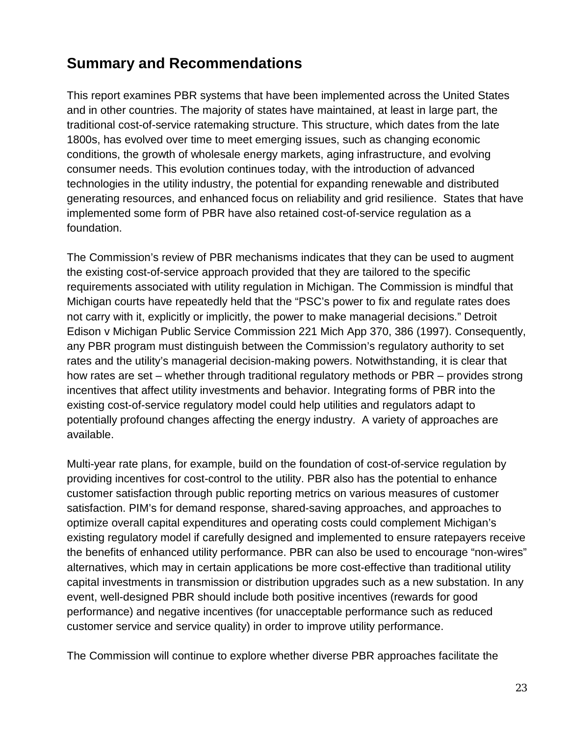# **Summary and Recommendations**

This report examines PBR systems that have been implemented across the United States and in other countries. The majority of states have maintained, at least in large part, the traditional cost-of-service ratemaking structure. This structure, which dates from the late 1800s, has evolved over time to meet emerging issues, such as changing economic conditions, the growth of wholesale energy markets, aging infrastructure, and evolving consumer needs. This evolution continues today, with the introduction of advanced technologies in the utility industry, the potential for expanding renewable and distributed generating resources, and enhanced focus on reliability and grid resilience. States that have implemented some form of PBR have also retained cost-of-service regulation as a foundation.

The Commission's review of PBR mechanisms indicates that they can be used to augment the existing cost-of-service approach provided that they are tailored to the specific requirements associated with utility regulation in Michigan. The Commission is mindful that Michigan courts have repeatedly held that the "PSC's power to fix and regulate rates does not carry with it, explicitly or implicitly, the power to make managerial decisions." Detroit Edison v Michigan Public Service Commission 221 Mich App 370, 386 (1997). Consequently, any PBR program must distinguish between the Commission's regulatory authority to set rates and the utility's managerial decision-making powers. Notwithstanding, it is clear that how rates are set – whether through traditional regulatory methods or PBR – provides strong incentives that affect utility investments and behavior. Integrating forms of PBR into the existing cost-of-service regulatory model could help utilities and regulators adapt to potentially profound changes affecting the energy industry. A variety of approaches are available.

Multi-year rate plans, for example, build on the foundation of cost-of-service regulation by providing incentives for cost-control to the utility. PBR also has the potential to enhance customer satisfaction through public reporting metrics on various measures of customer satisfaction. PIM's for demand response, shared-saving approaches, and approaches to optimize overall capital expenditures and operating costs could complement Michigan's existing regulatory model if carefully designed and implemented to ensure ratepayers receive the benefits of enhanced utility performance. PBR can also be used to encourage "non-wires" alternatives, which may in certain applications be more cost-effective than traditional utility capital investments in transmission or distribution upgrades such as a new substation. In any event, well-designed PBR should include both positive incentives (rewards for good performance) and negative incentives (for unacceptable performance such as reduced customer service and service quality) in order to improve utility performance.

The Commission will continue to explore whether diverse PBR approaches facilitate the